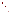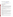## **Technical Factsheet on: NITRATE/NITRITE**

[List of Contaminants](http://www.epa.gov/safewater/hfacts.html) 

 As part of the Drinking Water and Health pages, this fact sheet is part of a larger publication: **National Primary Drinking Water Regulations** 

**Drinking Water Standards** (in mg/L)

 Nitrate- MCLG: 10; MCL: 10; 10-day HAL: 10 Nitrite- MCLG: 1; MCL: 1; 10-day HAL: 1 Total (Nitrate+Nitrite)- MCLG: 10; MCL: 10; 10-day HAL: 10

### **Health Effects Summary**

 The serious illness in infants is due to the conversion of nitrate to nitrite by the body, which can interfere Acute: Excessive levels of nitrate in drinking water have caused serious illness and sometimes death. with the oxygen-carrying capacity of the child's blood. This can be an acute condition in which health deteriorates rapidly over a period of days. Symptoms include shortness of breath and blueness of the skin.

 consuming 1 liter of water per day, a ten-day exposure to 10 mg/L total nitrate/nitrite. Drinking water levels which are considered "safe" for short-term exposures: For a 10-kg (22 lb.) child

Chronic: Effects of chronic exposure to high levels of nitrate/nitrite include diuresis, increased starchy deposits and hemorrhaging of the spleen.

 Cancer: There is inadequate evidence to state whether or not nitrates or nitrites have the potential to cause cancer from lifetime exposures in drinking water.

### **Usage Patterns**

 Primary sources of organic nitrates include human sewage and livestock manure, especially from Most nitrogenous materials in natural waters tend to be converted to nitrate, so all sources of combined nitrogen, particularly organic nitrogen and ammonia, should be considered as potential nitrate sources. feedlots.

The primary inorganic nitrates which may contaminate drinking water are potassium nitrate and ammonium nitrate. Potassium nitrates are used mainly as fertilizers (85%), with the remainder in heat transfer salts, glass and ceramics, and in matches and fireworks. Ammonium nitrates are used as fertilizers (84%) and in explosives and blasting agents (16%).

### **Release Patterns**

 According to the Toxics Release Inventory, releases to water and land totalled over 112 million pounds The major environmental releases of inorganic sources of nitrates are due to the use of fertilizers. from 1991 through 1993. The largest releases of inorganic nitrates occurred in Georgia and California.

### **Environmental Fate**

Due to its high solubility and weak retention by soil, nitrates are very mobile in soil, moving at approximately the same rate as water, and has a high potential to migrate to ground water. Because it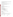Ammonium nitrate will be taken up by bacteria. Nitrate is more persistent in water than the ammonium does not volatilize, nitrate/nitrite is likely to remain in water until consumed by plants or other organisms. ion. Nitrate degradation is fastest in anaerobic conditions.

### **Chemical/Physical Properties**

CAS Number: Nitrate ion: 14797-55-8; Nitrite ion: 14797-65-0

 crystalline forms, usually coated with an anti-caking agent and adsorbed fuel oil. Color/ Form/Odor: Domestic fertilizer grade ammonium or potassium nitrates are in prilled (beaded) or

Solubilities: Nitrates and nitrites are highly soluble in water

Soil sorption coefficient: N/A

Bioconcentration Factor: N/A

Trade Names/Synonyms: Potassium salt: Potnit, Hitec, Niter, Nitrate of potash, Saltpeter. Ammonium salt: German or Norway saltpeter, Varioform I, Merco or Herco prills, Nitram.

# **Other Regulatory Information<br><sub>Monitoring:**</sub>

 Initial Frequency-Nitrate: 1 sample annually Nitrite: 1 sample during first 3-year compliance period Repeat Frequency-Nitrate: 1 sample annually Nitrite: determined by State Initial Frequency-Nitrate: 1 sample each quarter Nitrite: 1 sample during first 3-year compliance period Repeat Frequency-Nitrate: 1 sample annually Nitrite: determined by State  **--Triggers - If detect at > 5 mg/L nitrate, sample quarterly.**  If detect at > 0.5 mg/L nitrite, sample quarterly. If detect total nitrate + nitrite > 5 mg/L, sample quarterly **-- For Ground Water Sources: -- For Surface Water Sources:** 

### **Analysis**

 EPA 600/4-79-020 353.1; 353.2; 353.3; 300.0; 354.1 Analysis<br>Reference Source Method Number <sub>Method</sub> Number <sub>M</sub>ethod Number

Standard Methods 418C; 418F<br>ASTM D3867-85A; D3867-85B

**Treatment/Best Available Technologies**: Ion exchange; Reverse osmosis; Electrodialysis (nitrate only)

### **Toxic Release Inventory - Releases to Water and Land, 1987 to 1993 (in pounds):**

| <b>TOTALS</b>       | Water<br>59.014.378 | Land<br>53,134,805 |  |
|---------------------|---------------------|--------------------|--|
| Top Fifteen States* |                     |                    |  |
| GA                  | 12.114.253          | 12,028,585         |  |
| CA                  |                     | 21.840.999         |  |
| AL                  | 3.463.097           | 6.014.674          |  |